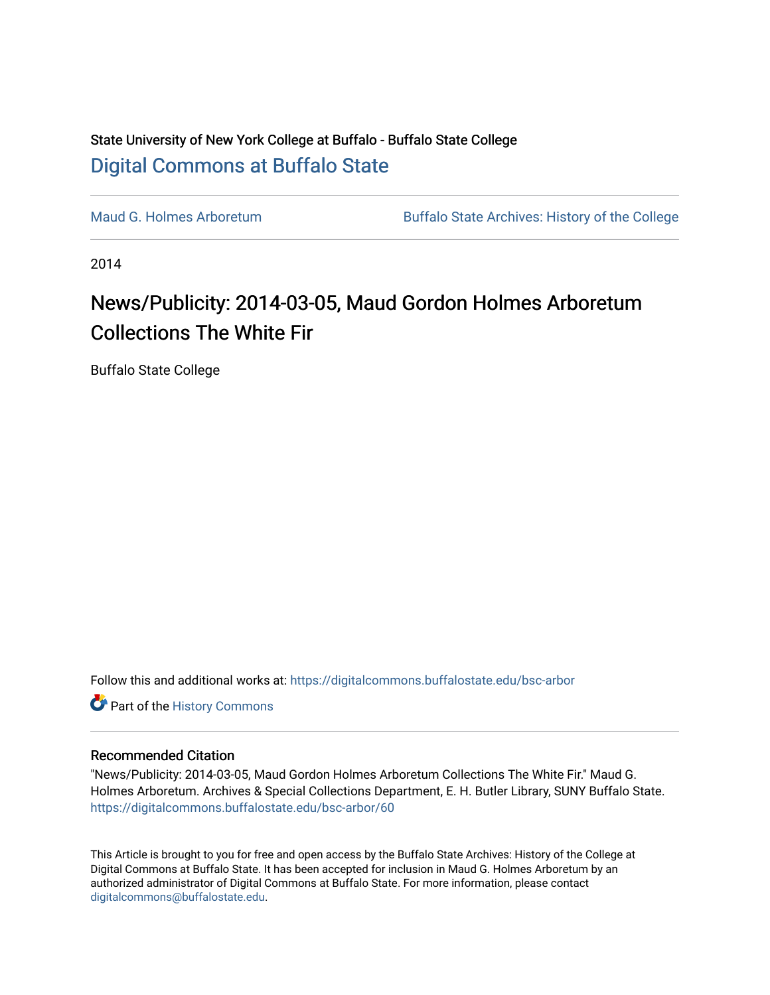## State University of New York College at Buffalo - Buffalo State College [Digital Commons at Buffalo State](https://digitalcommons.buffalostate.edu/)

[Maud G. Holmes Arboretum](https://digitalcommons.buffalostate.edu/bsc-arbor) Buffalo State Archives: History of the College

2014

# News/Publicity: 2014-03-05, Maud Gordon Holmes Arboretum Collections The White Fir

Buffalo State College

Follow this and additional works at: [https://digitalcommons.buffalostate.edu/bsc-arbor](https://digitalcommons.buffalostate.edu/bsc-arbor?utm_source=digitalcommons.buffalostate.edu%2Fbsc-arbor%2F60&utm_medium=PDF&utm_campaign=PDFCoverPages) 

Part of the [History Commons](http://network.bepress.com/hgg/discipline/489?utm_source=digitalcommons.buffalostate.edu%2Fbsc-arbor%2F60&utm_medium=PDF&utm_campaign=PDFCoverPages) 

## Recommended Citation

"News/Publicity: 2014-03-05, Maud Gordon Holmes Arboretum Collections The White Fir." Maud G. Holmes Arboretum. Archives & Special Collections Department, E. H. Butler Library, SUNY Buffalo State. [https://digitalcommons.buffalostate.edu/bsc-arbor/60](https://digitalcommons.buffalostate.edu/bsc-arbor/60?utm_source=digitalcommons.buffalostate.edu%2Fbsc-arbor%2F60&utm_medium=PDF&utm_campaign=PDFCoverPages) 

This Article is brought to you for free and open access by the Buffalo State Archives: History of the College at Digital Commons at Buffalo State. It has been accepted for inclusion in Maud G. Holmes Arboretum by an authorized administrator of Digital Commons at Buffalo State. For more information, please contact [digitalcommons@buffalostate.edu.](mailto:digitalcommons@buffalostate.edu)